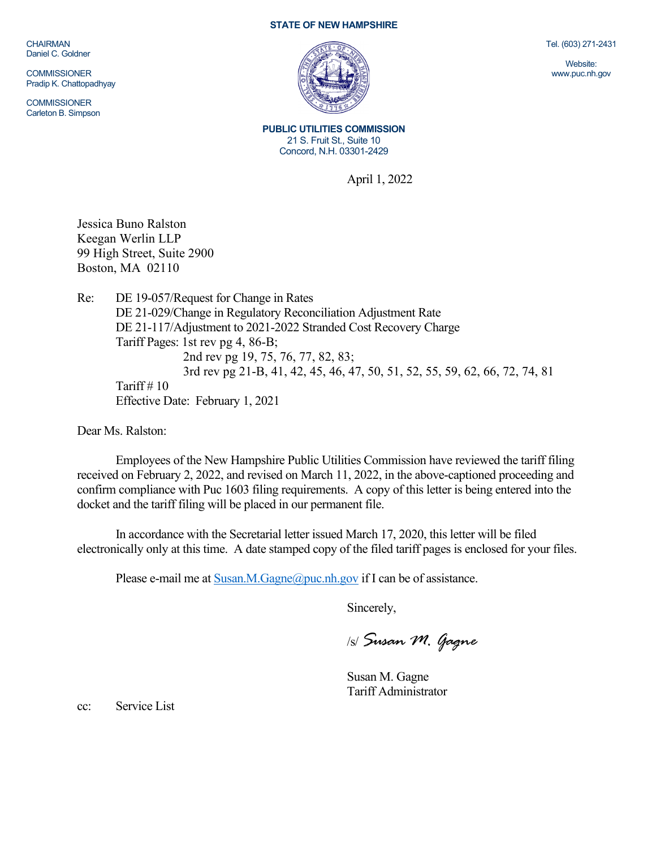CHAIRMAN Daniel C. Goldner

**COMMISSIONER** Pradip K. Chattopadhyay

**COMMISSIONER** Carleton B. Simpson

## **STATE OF NEW HAMPSHIRE**



**PUBLIC UTILITIES COMMISSION** 21 S. Fruit St., Suite 10 Concord, N.H. 03301-2429

April 1, 2022

Jessica Buno Ralston Keegan Werlin LLP 99 High Street, Suite 2900 Boston, MA 02110

Re: DE 19-057/Request for Change in Rates DE 21-029/Change in Regulatory Reconciliation Adjustment Rate DE 21-117/Adjustment to 2021-2022 Stranded Cost Recovery Charge Tariff Pages: 1st rev pg 4, 86-B; 2nd rev pg 19, 75, 76, 77, 82, 83; 3rd rev pg 21-B, 41, 42, 45, 46, 47, 50, 51, 52, 55, 59, 62, 66, 72, 74, 81 Tariff  $# 10$ Effective Date: February 1, 2021

Dear Ms. Ralston:

Employees of the New Hampshire Public Utilities Commission have reviewed the tariff filing received on February 2, 2022, and revised on March 11, 2022, in the above-captioned proceeding and confirm compliance with Puc 1603 filing requirements. A copy of this letter is being entered into the docket and the tariff filing will be placed in our permanent file.

In accordance with the Secretarial letter issued March 17, 2020, this letter will be filed electronically only at this time. A date stamped copy of the filed tariff pages is enclosed for your files.

Please e-mail me a[t Susan.M.Gagne@puc.nh.gov](mailto:Susan.M.Gagne@puc.nh.gov) if I can be of assistance.

Sincerely,

/s/ *Susan M. Gagne*

Susan M. Gagne Tariff Administrator

cc: Service List

Tel. (603) 271-2431

Website: www.puc.nh.gov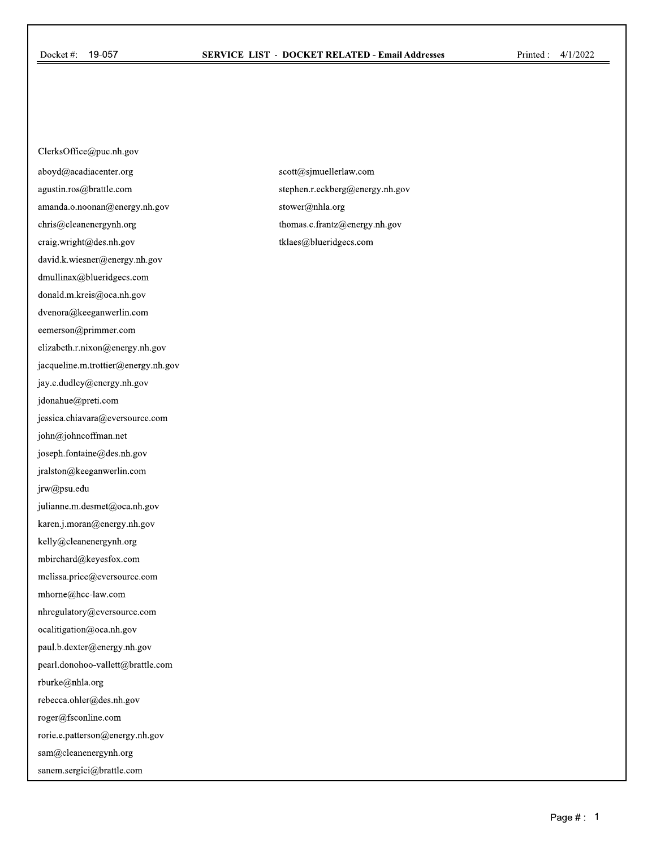ClerksOffice@puc.nh.gov aboyd@acadiacenter.org agustin.ros@brattle.com amanda.o.noonan@energy.nh.gov chris@cleanenergynh.org craig.wright@des.nh.gov david.k.wiesner@energy.nh.gov dmullinax@blueridgecs.com donald.m.kreis@oca.nh.gov dvenora@keeganwerlin.com eemerson@primmer.com elizabeth.r.nixon@energy.nh.gov jacqueline.m. trottier@energy.nh.gov jay.e.dudley@energy.nh.gov jdonahue@preti.com jessica.chiavara@eversource.com john@johncoffman.net joseph.fontaine@des.nh.gov jralston@keeganwerlin.com jrw@psu.edu julianne.m.desmet@oca.nh.gov karen.j.moran@energy.nh.gov kelly@cleanenergynh.org mbirchard@keyesfox.com melissa.price@eversource.com mhome@hcc-law.com nhregulatory@eversource.com ocalitigation@oca.nh.gov paul.b.dexter@energy.nh.gov pearl.donohoo-vallett@brattle.com rburke@nhla.org rebecca.ohler@des.nh.gov roger@fsconline.com rorie.e.patterson@energy.nh.gov sam@cleanenergynh.org sanem.sergici@brattle.com

scott@sjmuellerlaw.com stephen.r.eckberg@energy.nh.gov stower@nhla.org thomas.c.frantz@energy.nh.gov tklaes@blueridgecs.com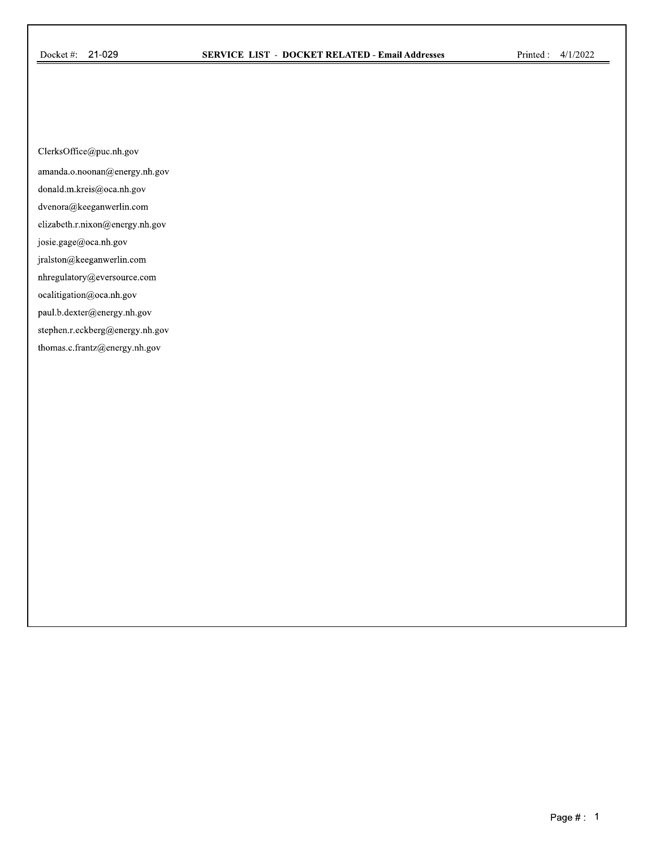ClerksOffice@puc.nh.gov

amanda.o.noonan@energy.nh.gov

donald.m.kreis@oca.nh.gov

dvenora@keeganwerlin.com

elizabeth.r.nixon@energy.nh.gov

josie.gage@oca.nh.gov

jralston@keeganwerlin.com

nhregulatory@eversource.com

ocalitigation@oca.nh.gov

paul.b.dexter@energy.nh.gov

stephen.r.eckberg@energy.nh.gov

thomas.c.frantz@energy.nh.gov